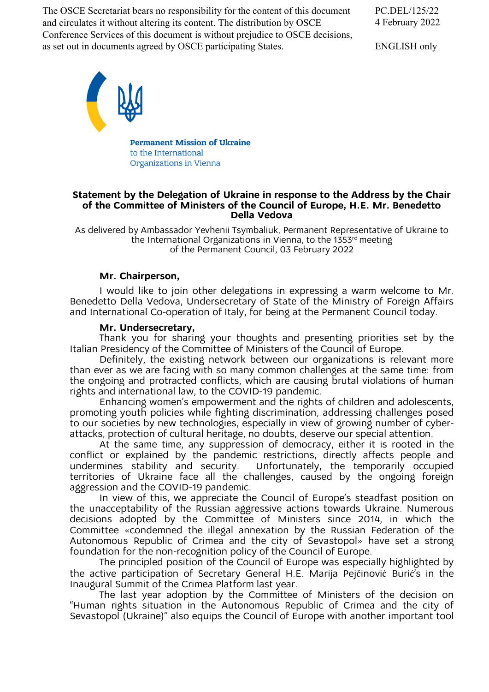The OSCE Secretariat bears no responsibility for the content of this document and circulates it without altering its content. The distribution by OSCE Conference Services of this document is without prejudice to OSCE decisions, as set out in documents agreed by OSCE participating States.

PC.DEL/125/22 4 February 2022

ENGLISH only



**Permanent Mission of Ukraine** to the International Organizations in Vienna

## **Statement by the Delegation of Ukraine in response to the Address by the Chair of the Committee of Ministers of the Council of Europe, H.E. Mr. Benedetto Della Vedova**

As delivered by Ambassador Yevhenii Tsymbaliuk, Permanent Representative of Ukraine to the International Organizations in Vienna, to the 1353<sup>rd</sup> meeting of the Permanent Council, 03 February 2022

# **Mr. Chairperson,**

I would like to join other delegations in expressing a warm welcome to Mr. Benedetto Della Vedova, Undersecretary of State of the Ministry of Foreign Affairs and International Co-operation of Italy, for being at the Permanent Council today.

# **Mr. Undersecretary,**

Thank you for sharing your thoughts and presenting priorities set by the Italian Presidency of the Committee of Ministers of the Council of Europe.

Definitely, the existing network between our organizations is relevant more than ever as we are facing with so many common challenges at the same time: from the ongoing and protracted conflicts, which are causing brutal violations of human rights and international law, to the COVID-19 pandemic.

Enhancing women's empowerment and the rights of children and adolescents, promoting youth policies while fighting discrimination, addressing challenges posed to our societies by new technologies, especially in view of growing number of cyberattacks, protection of cultural heritage, no doubts, deserve our special attention.

At the same time, any suppression of democracy, either it is rooted in the conflict or explained by the pandemic restrictions, directly affects people and undermines stability and security. Unfortunately, the temporarily occupied Unfortunately, the temporarily occupied territories of Ukraine face all the challenges, caused by the ongoing foreign aggression and the COVID-19 pandemic.

In view of this, we appreciate the Council of Europe's steadfast position on the unacceptability of the Russian aggressive actions towards Ukraine. Numerous decisions adopted by the Committee of Ministers since 2014, in which the Committee «condemned the illegal annexation by the Russian Federation of the Autonomous Republic of Crimea and the city of Sevastopol» have set a strong foundation for the non-recognition policy of the Council of Europe.

The principled position of the Council of Europe was especially highlighted by the active participation of Secretary General H.E. Marija Pejčinović Burić's in the Inaugural Summit of the Crimea Platform last year.

The last year adoption by the Committee of Ministers of the decision on "Human rights situation in the Autonomous Republic of Crimea and the city of Sevastopol (Ukraine)" also equips the Council of Europe with another important tool